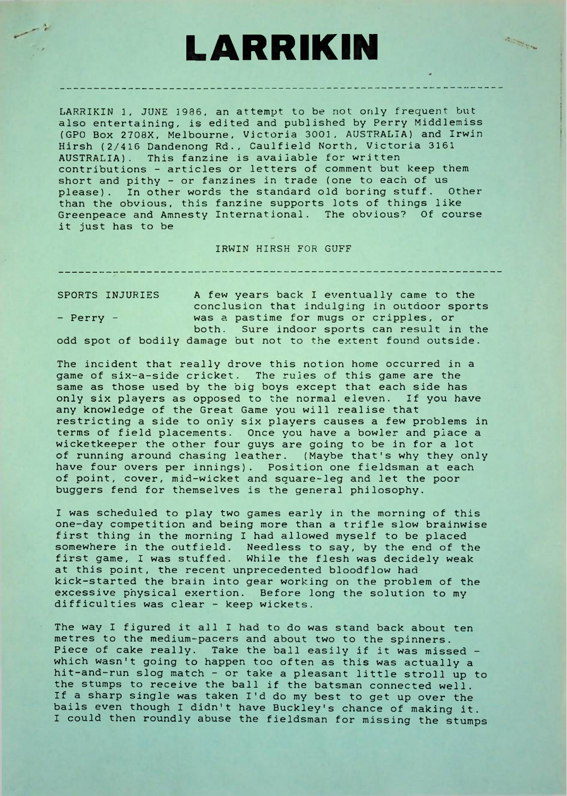## **LARRIKIN**

**Contractor** 

LARRIKIN 1, JUNE 1936, an attempt to be not only frequent but also entertaining, is edited and published by Perry Middlemiss (GPO Box 2708X, Melbourne, Victoria 3001, AUSTRALIA) and Irwin Hirsh (2/416 Dandenong Rd., Caulfield North, Victoria 3161 AUSTRALIA). This fanzine is available for written contributions - articles or letters of comment but keep them short and pithy - or fanzines in trade (one to each of us please). In other words the standard old boring stuff. Other than the obvious, this fanzine supports lots of things like Greenpeace and Amnesty International. The obvious? Of course it just has to be

IRWIN HIRSH FOR GUFF

SPORTS INJURIES A few years back <sup>I</sup> eventually came to the conclusion that indulging in outdoor sports - Perry - was a pastime for mugs or cripples, or both. Sure indoor sports can result in the odd spot of bodily damage but not to the extent found outside.

The incident that really drove this notion home occurred in a game of six-a-side cricket. The rules of this game are the same as those used by the big boys except that each side has only six players as opposed to the normal eleven. If you have any knowledge of the Great Game you will realise that restricting a side to only six players causes a few problems in terms of field placements. Once you have a bowler and place a wicketkeeper the other four guys are going to be in for a lot of running around chasing leather. (Maybe that's why they only have four overs per innings). Position one fieldsman at each of point, cover, mid-wicket and square-leg and let the poor buggers fend for themselves is the general philosophy.

<sup>I</sup> was scheduled to play two games early in the morning of this one-day competition and being more than a trifle slow brainwise first thing in the morning <sup>I</sup> had allowed myself to be placed somewhere in the outfield. Needless to say, by the end of the first game, <sup>I</sup> was stuffed. While the flesh was decidely weak at this point, the recent unprecedented bloodflow had kick-started the brain into gear working on the problem of the excessive physical exertion. Before long the solution to my difficulties was clear - keep wickets.

The way <sup>I</sup> figured it all <sup>I</sup> had to do was stand back about ten metres to the medium-pacers and about two to the spinners. Piece of cake really. Take the ball easily if it was missed which wasn't going to happen too often as this was actually a hit-and-run slog match - or take a pleasant little stroll up to the stumps to receive the ball if the batsman connected well. If a sharp single was taken I'd do my best to get up over the bails even though <sup>I</sup> didn't have Buckley's chance of making it. <sup>I</sup> could then roundly abuse the fieldsman for missing the stumps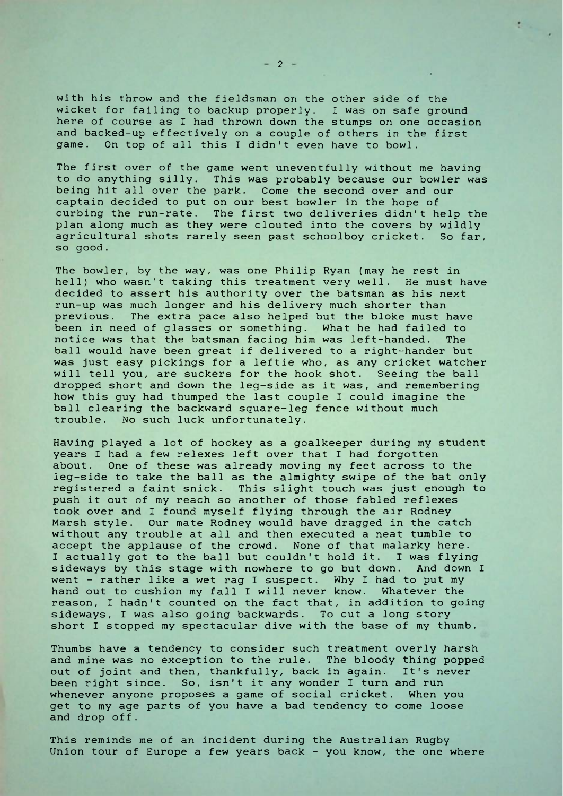with his throw and the fieldsman on the other side of the wicket for failing to backup properly. <sup>I</sup> was on safe ground here of course as I had thrown down the stumps on one occasion and backed-up effectively on a couple of others in the first game. On top of all this <sup>I</sup> didn't even have to bowl.

The first over of the game went uneventfully without me having to do anything silly. This was probably because our bowler was being hit all over the park. Come the second over and our captain decided to put on our best bowler in the hope of curbing the run-rate. The first two deliveries didn't help the plan along much as they were clouted into the covers by wildly agricultural shots rarely seen past schoolboy cricket. So far, so good.

The bowler, by the way, was one Philip Ryan (may he rest in hell) who wasn't taking this treatment very well. He must have decided to assert his authority over the batsman as his next run-up was much longer and his delivery much shorter than previous. The extra pace also helped but the bloke must have been in need of glasses or something. What he had failed to notice was that the batsman facing him was left-handed. The notice was that the batsman facing him was left-handed. ball would have been great if delivered to a right-hander but was just easy pickings for a leftie who, as any cricket watcher will tell you, are suckers for the hook shot. Seeing the ball dropped short and down the leg-side as it was, and remembering how this guy had thumped the last couple <sup>I</sup> could imagine the ball clearing the backward square-leg fence without much trouble. No such luck unfortunately.

Having played a lot of hockey as a goalkeeper during my student years <sup>I</sup> had a few relexes left over that <sup>I</sup> had forgotten about. One of these was already moving my feet across to the leg-side to take the ball as the almighty swipe of the bat only registered a faint snick. This slight touch was just enough to push it out of my reach so another of those fabled reflexes took over and <sup>I</sup> found myself flying through the air Rodney Marsh style. Our mate Rodney would have dragged in the catch without any trouble at all and then executed a neat tumble to accept the applause of the crowd. None of that malarky here. I actually got to the ball but couldn't hold it. I was flying sideways by this stage with nowhere to go but down. And down <sup>I</sup> went - rather like a wet rag I suspect. Why I had to put my hand out to cushion my fall <sup>I</sup> will never know. Whatever the reason, <sup>I</sup> hadn't counted on the fact that, in addition to going sideways, <sup>I</sup> was also going backwards. To cut a long story short <sup>I</sup> stopped my spectacular dive with the base of my thumb.

Thumbs have a tendency to consider such treatment overly harsh and mine was no exception to the rule. The bloody thing popped out of joint and then, thankfully, back in again. It's never been right since. So, isn't it any wonder <sup>I</sup> turn and run whenever anyone proposes a game of social cricket. When you get to my age parts of you have a bad tendency to come loose and drop off.

This reminds me of an incident during the Australian Rugby Union tour of Europe a few years back - you know, the one where  $\mathbf{t}$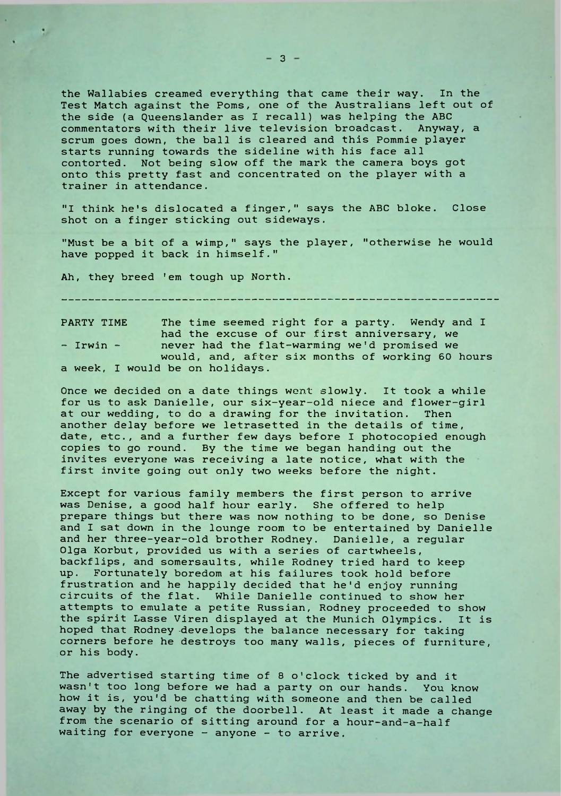the Wallabies creamed everything that came their way. In the Test Match against the Poms, one of the Australians left out of the side (a Queenslander as I recall) was helping the ABC commentators with their live television broadcast. Anyway, a scrum goes down, the ball is cleared and this Pommie player starts running towards the sideline with his face all contorted. Not being slow off the mark the camera boys got onto this pretty fast and concentrated on the player with a trainer in attendance.

"I think he's dislocated a finger," says the ABC bloke. Close shot on a finger sticking out sideways.

"Must be a bit of a wimp," says the player, "otherwise he would have popped it back in himself."

Ah, they breed 'em tough up North.

PARTY TIME The time seemed right for a party. Wendy and I had the excuse of our first anniversary, we - Irwin - never had the flat-warming we'd promised we would, and, after six months of working 60 hours a week, I would be on holidays.

Once we decided on a date things went slowly. It took a while for us to ask Danielle, our six-year-old niece and flower-girl at our wedding, to do a drawing for the invitation. Then another delay before we letrasetted in the details of time, date, etc., and a further few days before I photocopied enough copies to go round. By the time we began handing out the invites everyone was receiving a late notice, what with the first invite going out only two weeks before the night.

Except for various family members the first person to arrive was Denise, a good half hour early. She offered to help prepare things but there was now nothing to be done, so Denise and <sup>I</sup> sat down in the lounge room to be entertained by Danielle and her three-year-old brother Rodney. Danielle, a regular Olga Korbut, provided us with a series of cartwheels, backflips, and somersaults, while Rodney tried hard to keep up. Fortunately boredom at his failures took hold before frustration and he happily decided that he'd enjoy running circuits of the flat. While Danielle continued to show her attempts to emulate a petite Russian, Rodney proceeded to show the spirit Lasse Viren displayed at the Munich Olympics. It is hoped that Rodney -develops the balance necessary for taking corners before he destroys too many walls, pieces of furniture, or his body.

The advertised starting time of 8 o'clock ticked by and it wasn't too long before we had a party on our hands. You know how it is, you'd be chatting with someone and then be called away by the ringing of the doorbell. At least it made a change from the scenario of sitting around for a hour-and-a-half waiting for everyone - anyone - to arrive.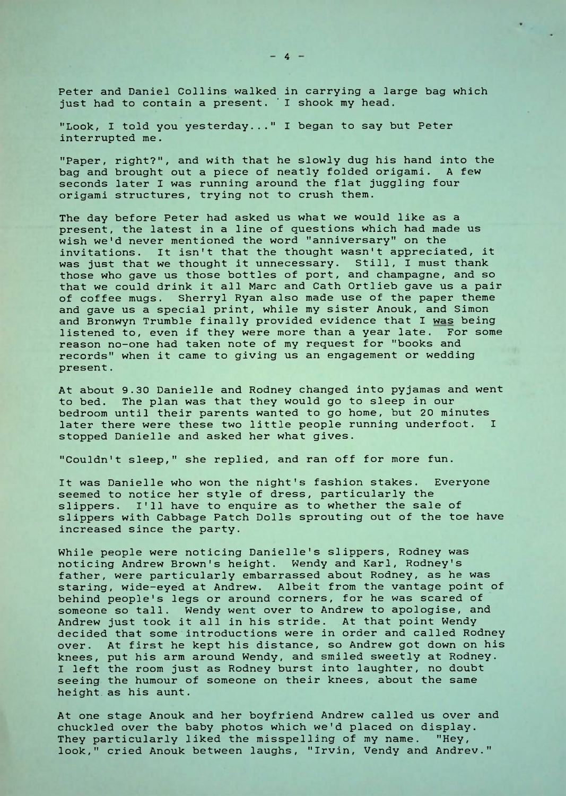Peter and Daniel Collins walked in carrying a large bag which just had to contain a present. I shook my head.

"Look, <sup>I</sup> told you yesterday..." <sup>I</sup> began to say but Peter interrupted me.

"Paper, right?", and with that he slowly dug his hand into the bag and brought out a piece of neatly folded origami. A few seconds later I was running around the flat juggling four origami structures, trying not to crush them.

The day before Peter had asked us what we would like as a present, the latest in a line of questions which had made us wish we'd never mentioned the word "anniversary" on the invitations. It isn't that the thought wasn't appreciated, it was just that we thought it unnecessary. Still, I must thank those who gave us those bottles of port, and champagne, and so that we could drink it all Marc and Cath Ortlieb gave us a pair of coffee mugs. Sherryl Ryan also made use of the paper theme and gave us a special print, while my sister Anouk, and Simon and Bronwyn Trumble finally provided evidence that I was being listened to, even if they were more than a year late. For some reason no-one had taken note of my request for "books and records" when it came to giving us an engagement or wedding present.

At about 9.30 Danielle and Rodney changed into pyjamas and went to bed. The plan was that they would go to sleep in our bedroom until their parents wanted to go home, but 20 minutes<br>later there were these two little people running underfoot. I later there were these two little people running underfoot. stopped Danielle and asked her what gives.

"Couldn't sleep," she replied, and ran off for more fun.

It was Danielle who won the night's fashion stakes. Everyone seemed to notice her style of dress, particularly the slippers. I'll have to enquire as to whether the sale of slippers with Cabbage Patch Dolls sprouting out of the toe have increased since the party.

While people were noticing Danielle's slippers, Rodney was noticing Andrew Brown's height. Wendy and Karl, Rodney's father, were particularly embarrassed about Rodney, as he was staring, wide-eyed at Andrew. Albeit from the vantage point of behind people's legs or around corners, for he was scared of someone so tall. Wendy went over to Andrew to apologise, and Andrew just took it all in his stride. At that point Wendy decided that some introductions were in order and called Rodney over. At first he kept his distance, so Andrew got down on his knees, put his arm around Wendy, and smiled sweetly at Rodney. <sup>I</sup> left the room just as Rodney burst into laughter, no doubt seeing the humour of someone on their knees, about the same height, as his aunt.

At one stage Anouk and her boyfriend Andrew called us over and chuckled over the baby photos which we'd placed on display. They particularly liked the misspelling of my name. "Hey, look," cried Anouk between laughs, "Irvin, Vendy and Andrev."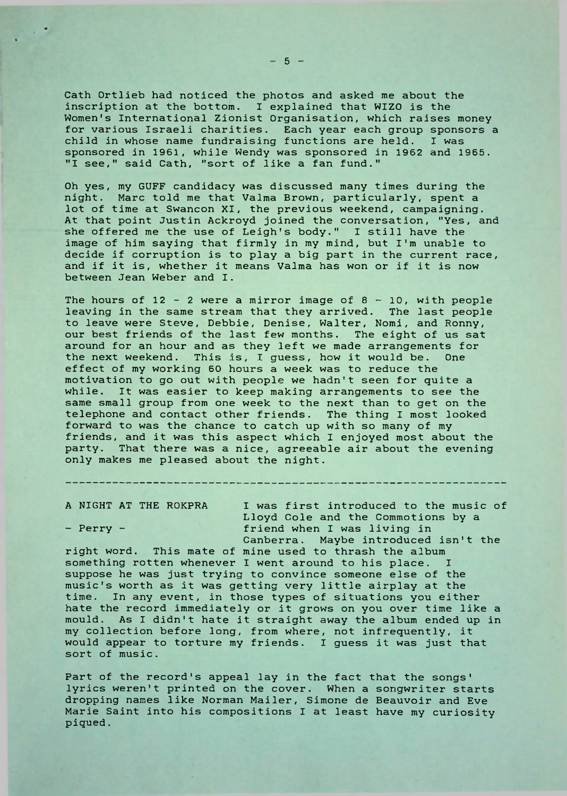Cath Ortlieb had noticed the photos and asked me about the inscription at the bottom, <sup>I</sup> explained that WIZO is the Women's International Zionist Organisation, which raises money for various Israeli charities. Each year each group sponsors a child in whose name fundraising functions are held. I was sponsored in 1961, while Wendy was sponsored in 1962 and 1965. "I see," said Cath, "sort of like a fan fund."

Oh yes, my GUFF candidacy was discussed many times during the night. Marc told me that Valma Brown, particularly, spent a lot of time at Swancon XI, the previous weekend, campaigning. At that point Justin Ackroyd joined the conversation, "Yes, and she offered me the use of Leigh's body." I still have the image of him saying that firmly in my mind, but I'm unable to decide if corruption is to play a big part in the current race, and if it is, whether it means Valma has won or if it is now between Jean Weber and I.

The hours of  $12 - 2$  were a mirror image of  $8 - 10$ , with people leaving in the same stream that they arrived. The last people to leave were Steve, Debbie, Denise, Walter, Nomi, and Ronny, our best friends of the last few months. The eight of us sat around for an hour and as they left we made arrangements for the next weekend. This is, <sup>I</sup> guess, how it would be. One effect of my working 60 hours a week was to reduce the motivation to go out with people we hadn't seen for quite a while. It was easier to keep making arrangements to see the same small group from one week to the next than to get on the telephone and contact other friends. The thing <sup>I</sup> most looked forward to was the chance to catch up with so many of my friends, and it was this aspect which I enjoyed most about the party. That there was a nice, agreeable air about the evening only makes me pleased about the night.

A NIGHT AT THE ROKPRA I was first introduced to the music of Lloyd Cole and the Commotions by a - Perry - The friend when I was living in Canberra. Maybe introduced isn't the

right word. This mate of mine used to thrash the album something rotten whenever I went around to his place. <sup>I</sup> suppose he was just trying to convince someone else of the music's worth as it was getting very little airplay at the time. In any event, in those types of situations you either hate the record immediately or it grows on you over time like a mould. As <sup>I</sup> didn't hate it straight away the album ended up in my collection before long, from where, not infrequently, it would appear to torture my friends. <sup>I</sup> guess it was just that sort of music.

Part of the record's appeal lay in the fact that the songs' lyrics weren't printed on the cover. When a songwriter starts dropping names like Norman Mailer, Simone de Beauvoir and Eve Marie Saint into his compositions <sup>I</sup> at least have my curiosity piqued.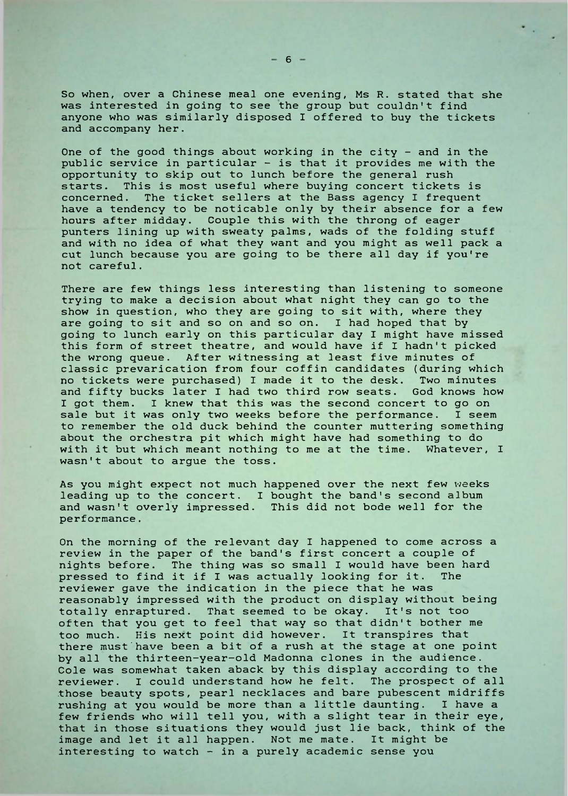So when, over a Chinese meal one evening, Ms R. stated that she was interested in going to see the group but couldn't find anyone who was similarly disposed <sup>I</sup> offered to buy the tickets and accompany her.

One of the good things about working in the city - and in the public service in particular - is that it provides me with the opportunity to skip out to lunch before the general rush starts. This is most useful where buying concert tickets is concerned. The ticket sellers at the Bass agency <sup>I</sup> frequent have a tendency to be noticable only by their absence for a few hours after midday. Couple this with the throng of eager punters lining up with sweaty palms, wads of the folding stuff and with no idea of what they want and you might as well pack a cut lunch because you are going to be there all day if you're not careful.

There are few things less interesting than listening to someone trying to make a decision about what night they can go to the show in question, who they are going to sit with, where they are going to sit and so on and so on. I had hoped that by going to lunch early on this particular day I might have missed this form of street theatre, and would have if I hadn't picked the wrong queue. After witnessing at least five minutes of classic prevarication from four coffin candidates (during which no tickets were purchased) I made it to the desk. Two minutes and fifty bucks later I had two third row seats. God knows how <sup>I</sup> got them. <sup>I</sup> knew that this was the second concert to go on sale but it was only two weeks before the performance. <sup>I</sup> seem to remember the old duck behind the counter muttering something about the orchestra pit which might have had something to do with it but which meant nothing to me at the time. Whatever, <sup>I</sup> wasn't about to argue the toss.

As you might expect not much happened over the next few weeks leading up to the concert. <sup>I</sup> bought the band's second album and wasn't overly impressed. This did not bode well for the performance.

On the morning of the relevant day <sup>I</sup> happened to come across a review in the paper of the band's first concert a couple of nights before. The thing was so small <sup>I</sup> would have been hard pressed to find it if I was actually looking for it. The reviewer gave the indication in the piece that he was reasonably impressed with the product on display without being totally enraptured. That seemed to be okay. It's not too often that you get to feel that way so that didn't bother me too much. His next point did however. It transpires that there must'have been a bit of a rush at the stage at one point by all the thirteen-year-old Madonna clones in the audience. Cole was somewhat taken aback by this display according to the reviewer. I could understand how he felt. The prospect of all those beauty spots, pearl necklaces and bare pubescent midriffs rushing at you would be more than a little daunting. <sup>I</sup> have a few friends who will tell you, with a slight tear in their eye, that in those situations they would just lie back, think of the image and let it all happen. Not me mate. It might be interesting to watch  $-$  in a purely academic sense you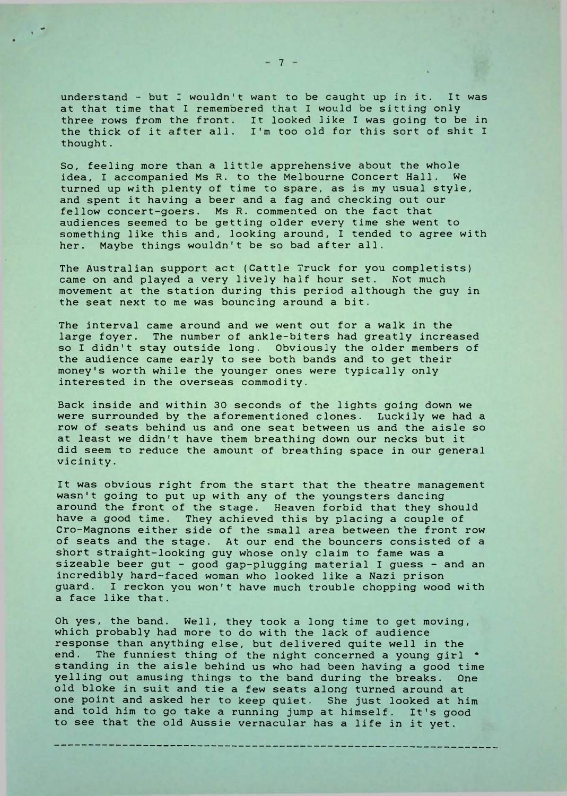understand - but <sup>I</sup> wouldn't want to be caught up in it. It was at that time that <sup>I</sup> remembered that <sup>I</sup> would be sitting only three rows from the front. It looked like <sup>I</sup> was going to be in the thick of it after all. I'm too old for this sort of shit <sup>I</sup> thought.

So, feeling more than a little apprehensive about the whole idea, <sup>I</sup> accompanied Ms R. to the Melbourne Concert Hall. We turned up with plenty of time to spare, as is my usual style, and spent it having a beer and a fag and checking out our fellow concert-goers. Ms R. commented on the fact that audiences seemed to be getting older every time she went to something like this and, looking around, <sup>I</sup> tended to agree with her. Maybe things wouldn't be so bad after all.

The Australian support act (Cattle Truck for you completists) came on and played a very lively half hour set. Not much movement at the station during this period although the guy in the seat next to me was bouncing around a bit.

The interval came around and we went out for a walk in the large foyer. The number of ankle-biters had greatly increased so <sup>I</sup> didn't stay outside long. Obviously the older members of the audience came early to see both bands and to get their money's worth while the younger ones were typically only interested in the overseas commodity.

Back inside and within 30 seconds of the lights going down we were surrounded by the aforementioned clones. Luckily we had a row of seats behind us and one seat between us and the aisle so at least we didn't have them breathing down our necks but it did seem to reduce the amount of breathing space in our general vicinity.

It was obvious right from the start that the theatre management wasn't going to put up with any of the youngsters dancing around the front of the stage. Heaven forbid that they should have a good time. They achieved this by placing a couple of Cro-Magnons either side of the small area between the front row of seats and the stage. At our end the bouncers consisted of a short straight-looking guy whose only claim to fame was a sizeable beer gut - good gap-plugging material <sup>I</sup> guess - and an incredibly hard-faced woman who looked like a Nazi prison guard. <sup>I</sup> reckon you won't have much trouble chopping wood with a face like that.

Oh yes, the band. Well, they took a long time to get moving, which probably had more to do with the lack of audience response than anything else, but delivered quite well in the end. The funniest thing of the night concerned a young girl standing in the aisle behind us who had been having a good time yelling out amusing things to the band during the breaks. One old bloke in suit and tie a few seats along turned around at one point and asked her to keep quiet. She just looked at him and told him to go take a running jump at himself. It's good to see that the old Aussie vernacular has a life in it yet.